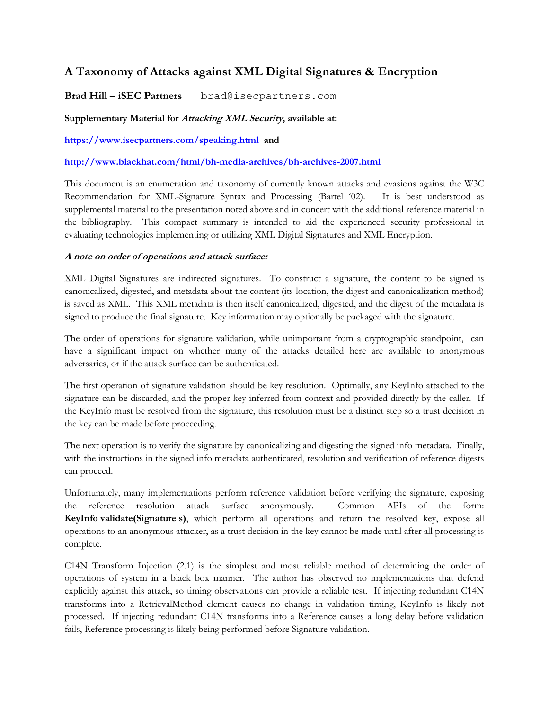# **A Taxonomy of Attacks against XML Digital Signatures & Encryption**

**Brad Hill – iSEC Partners** brad@isecpartners.com

### **Supplementary Material for Attacking XML Security, available at:**

**<https://www.isecpartners.com/speaking.html>and**

**<http://www.blackhat.com/html/bh-media-archives/bh-archives-2007.html>**

This document is an enumeration and taxonomy of currently known attacks and evasions against the W3C Recommendation for XML-Signature Syntax and Processing (Bartel "02). It is best understood as supplemental material to the presentation noted above and in concert with the additional reference material in the bibliography. This compact summary is intended to aid the experienced security professional in evaluating technologies implementing or utilizing XML Digital Signatures and XML Encryption.

#### **A note on order of operations and attack surface:**

XML Digital Signatures are indirected signatures. To construct a signature, the content to be signed is canonicalized, digested, and metadata about the content (its location, the digest and canonicalization method) is saved as XML. This XML metadata is then itself canonicalized, digested, and the digest of the metadata is signed to produce the final signature. Key information may optionally be packaged with the signature.

The order of operations for signature validation, while unimportant from a cryptographic standpoint, can have a significant impact on whether many of the attacks detailed here are available to anonymous adversaries, or if the attack surface can be authenticated.

The first operation of signature validation should be key resolution. Optimally, any KeyInfo attached to the signature can be discarded, and the proper key inferred from context and provided directly by the caller. If the KeyInfo must be resolved from the signature, this resolution must be a distinct step so a trust decision in the key can be made before proceeding.

The next operation is to verify the signature by canonicalizing and digesting the signed info metadata. Finally, with the instructions in the signed info metadata authenticated, resolution and verification of reference digests can proceed.

Unfortunately, many implementations perform reference validation before verifying the signature, exposing the reference resolution attack surface anonymously. Common APIs of the form: **KeyInfo validate(Signature s)**, which perform all operations and return the resolved key, expose all operations to an anonymous attacker, as a trust decision in the key cannot be made until after all processing is complete.

C14N Transform Injection (2.1) is the simplest and most reliable method of determining the order of operations of system in a black box manner. The author has observed no implementations that defend explicitly against this attack, so timing observations can provide a reliable test. If injecting redundant C14N transforms into a RetrievalMethod element causes no change in validation timing, KeyInfo is likely not processed. If injecting redundant C14N transforms into a Reference causes a long delay before validation fails, Reference processing is likely being performed before Signature validation.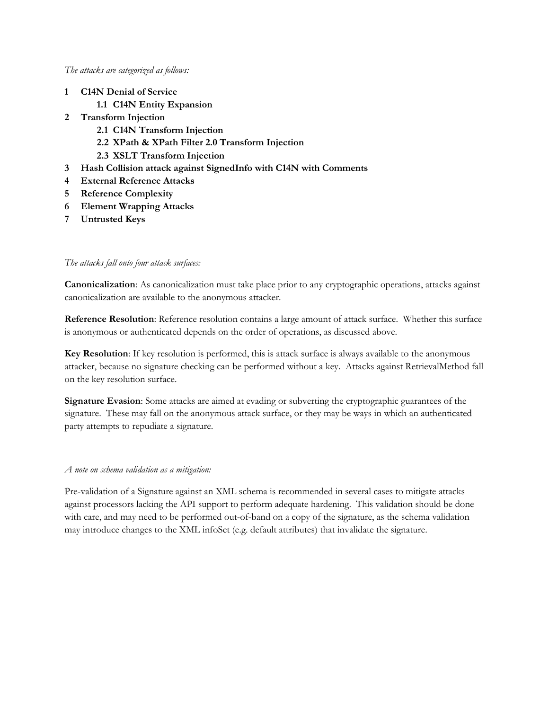#### *The attacks are categorized as follows:*

- **1 C14N Denial of Service**
	- **1.1 C14N Entity Expansion**
- **2 Transform Injection**
	- **2.1 C14N Transform Injection**
	- **2.2 XPath & XPath Filter 2.0 Transform Injection**
	- **2.3 XSLT Transform Injection**
- **3 Hash Collision attack against SignedInfo with C14N with Comments**
- **4 External Reference Attacks**
- **5 Reference Complexity**
- **6 Element Wrapping Attacks**
- **7 Untrusted Keys**

#### *The attacks fall onto four attack surfaces:*

**Canonicalization**: As canonicalization must take place prior to any cryptographic operations, attacks against canonicalization are available to the anonymous attacker.

**Reference Resolution**: Reference resolution contains a large amount of attack surface. Whether this surface is anonymous or authenticated depends on the order of operations, as discussed above.

**Key Resolution**: If key resolution is performed, this is attack surface is always available to the anonymous attacker, because no signature checking can be performed without a key. Attacks against RetrievalMethod fall on the key resolution surface.

**Signature Evasion**: Some attacks are aimed at evading or subverting the cryptographic guarantees of the signature. These may fall on the anonymous attack surface, or they may be ways in which an authenticated party attempts to repudiate a signature.

#### *A note on schema validation as a mitigation:*

Pre-validation of a Signature against an XML schema is recommended in several cases to mitigate attacks against processors lacking the API support to perform adequate hardening. This validation should be done with care, and may need to be performed out-of-band on a copy of the signature, as the schema validation may introduce changes to the XML infoSet (e.g. default attributes) that invalidate the signature.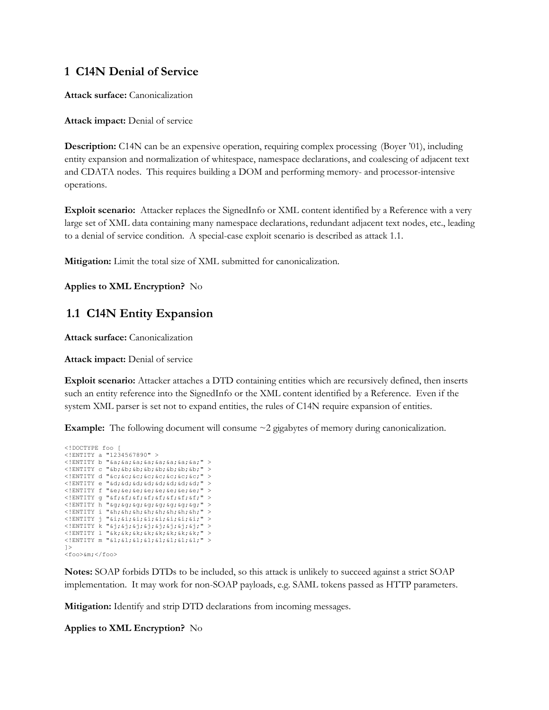### **1 C14N Denial of Service**

**Attack surface:** Canonicalization

**Attack impact:** Denial of service

**Description:** C14N can be an expensive operation, requiring complex processing (Boyer '01), including entity expansion and normalization of whitespace, namespace declarations, and coalescing of adjacent text and CDATA nodes. This requires building a DOM and performing memory- and processor-intensive operations.

**Exploit scenario:** Attacker replaces the SignedInfo or XML content identified by a Reference with a very large set of XML data containing many namespace declarations, redundant adjacent text nodes, etc., leading to a denial of service condition. A special-case exploit scenario is described as attack 1.1.

**Mitigation:** Limit the total size of XML submitted for canonicalization.

**Applies to XML Encryption?** No

### **1.1 C14N Entity Expansion**

**Attack surface:** Canonicalization

**Attack impact:** Denial of service

**Exploit scenario:** Attacker attaches a DTD containing entities which are recursively defined, then inserts such an entity reference into the SignedInfo or the XML content identified by a Reference. Even if the system XML parser is set not to expand entities, the rules of C14N require expansion of entities.

**Example:** The following document will consume ~2 gigabytes of memory during canonicalization.

```
<!DOCTYPE foo [ 
<!ENTITY a "1234567890" >
<!ENTITY b "&a;&a;&a;&a;&a;&a;&a;&a;" > 
<!ENTITY c "&b;&b;&b;&b;&b;&b;&b;&b;" > 
\langle!ENTITY d "&c;&c;&c;&c;&c;&c;&c;"
<!ENTITY e "&d;&d;&d;&d;&d;&d;&d;&d;" > 
<!ENTITY f "&e;&e;&e;&e;&e;&e;&e;&e;" > 
<!ENTITY g "&f;&f;&f;&f;&f;&f;&f;&f;" > 
<!ENTITY h "&g;&g;&g;&g;&g;&g;&g;&g;" > 
\langle!ENTITY i "&h;&h;&h;&h;&h;&h;&h;"
<!ENTITY j "&i;&i;&i;&i;&i;&i;&i;&i;" > 
<!ENTITY k "&j;&j;&j;&j;&j;&j;&j;&j;" > 
\langle!ENTITY 1 "&k;&k;&k;&k;&k;&k;&k;#
<!ENTITY m "&l;&l;&l;&l;&l;&l;&l;&l;" > 
\geq<foo>&m;</foo>
```
**Notes:** SOAP forbids DTDs to be included, so this attack is unlikely to succeed against a strict SOAP implementation. It may work for non-SOAP payloads, e.g. SAML tokens passed as HTTP parameters.

**Mitigation:** Identify and strip DTD declarations from incoming messages.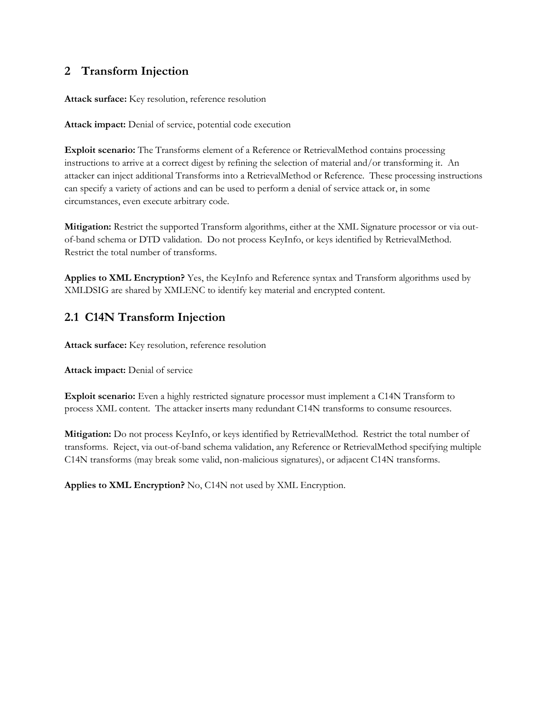## **2 Transform Injection**

**Attack surface:** Key resolution, reference resolution

**Attack impact:** Denial of service, potential code execution

**Exploit scenario:** The Transforms element of a Reference or RetrievalMethod contains processing instructions to arrive at a correct digest by refining the selection of material and/or transforming it. An attacker can inject additional Transforms into a RetrievalMethod or Reference. These processing instructions can specify a variety of actions and can be used to perform a denial of service attack or, in some circumstances, even execute arbitrary code.

**Mitigation:** Restrict the supported Transform algorithms, either at the XML Signature processor or via outof-band schema or DTD validation. Do not process KeyInfo, or keys identified by RetrievalMethod. Restrict the total number of transforms.

**Applies to XML Encryption?** Yes, the KeyInfo and Reference syntax and Transform algorithms used by XMLDSIG are shared by XMLENC to identify key material and encrypted content.

# **2.1 C14N Transform Injection**

**Attack surface:** Key resolution, reference resolution

**Attack impact:** Denial of service

**Exploit scenario:** Even a highly restricted signature processor must implement a C14N Transform to process XML content. The attacker inserts many redundant C14N transforms to consume resources.

**Mitigation:** Do not process KeyInfo, or keys identified by RetrievalMethod. Restrict the total number of transforms. Reject, via out-of-band schema validation, any Reference or RetrievalMethod specifying multiple C14N transforms (may break some valid, non-malicious signatures), or adjacent C14N transforms.

**Applies to XML Encryption?** No, C14N not used by XML Encryption.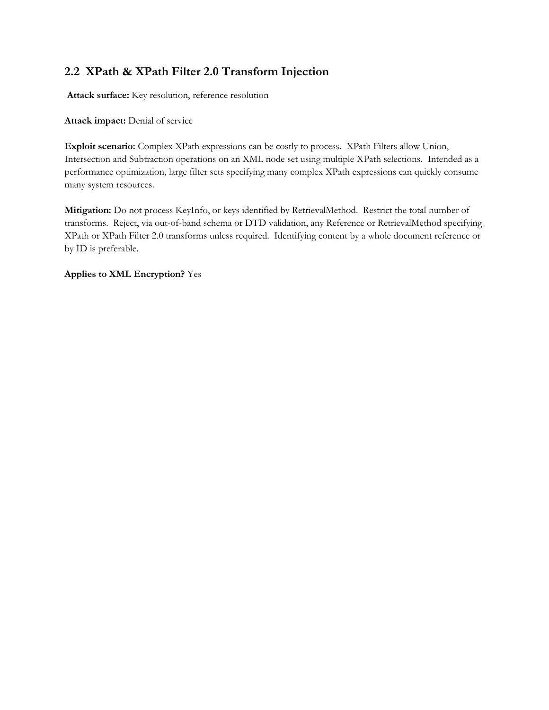# **2.2 XPath & XPath Filter 2.0 Transform Injection**

**Attack surface:** Key resolution, reference resolution

**Attack impact:** Denial of service

**Exploit scenario:** Complex XPath expressions can be costly to process. XPath Filters allow Union, Intersection and Subtraction operations on an XML node set using multiple XPath selections. Intended as a performance optimization, large filter sets specifying many complex XPath expressions can quickly consume many system resources.

**Mitigation:** Do not process KeyInfo, or keys identified by RetrievalMethod. Restrict the total number of transforms. Reject, via out-of-band schema or DTD validation, any Reference or RetrievalMethod specifying XPath or XPath Filter 2.0 transforms unless required. Identifying content by a whole document reference or by ID is preferable.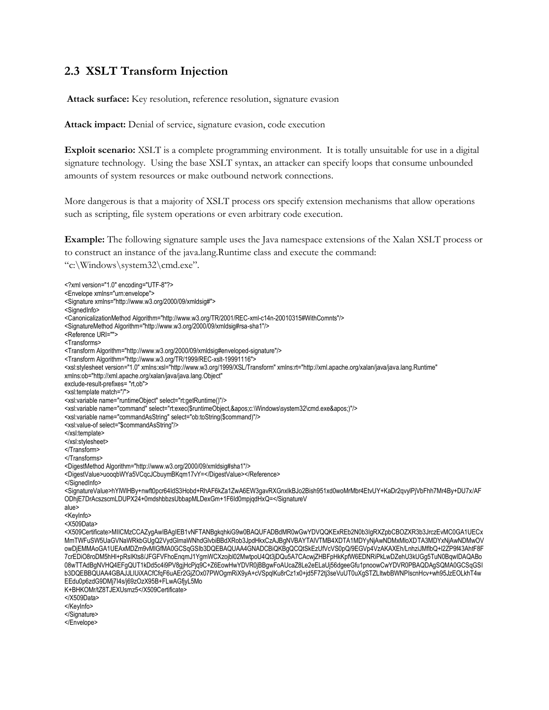### **2.3 XSLT Transform Injection**

**Attack surface:** Key resolution, reference resolution, signature evasion

**Attack impact:** Denial of service, signature evasion, code execution

**Exploit scenario:** XSLT is a complete programming environment. It is totally unsuitable for use in a digital signature technology. Using the base XSLT syntax, an attacker can specify loops that consume unbounded amounts of system resources or make outbound network connections.

More dangerous is that a majority of XSLT process ors specify extension mechanisms that allow operations such as scripting, file system operations or even arbitrary code execution.

**Example:** The following signature sample uses the Java namespace extensions of the Xalan XSLT process or to construct an instance of the java.lang.Runtime class and execute the command: "c:\Windows\system32\cmd.exe".

<?xml version="1.0" encoding="UTF-8"?> <Envelope xmlns="urn:envelope"> <Signature xmlns="http://www.w3.org/2000/09/xmldsig#"> <SignedInfo> <CanonicalizationMethod Algorithm="http://www.w3.org/TR/2001/REC-xml-c14n-20010315#WithComnts"/> <SignatureMethod Algorithm="http://www.w3.org/2000/09/xmldsig#rsa-sha1"/> <Reference URI=""> <Transforms> <Transform Algorithm="http://www.w3.org/2000/09/xmldsig#enveloped-signature"/> <Transform Algorithm="http://www.w3.org/TR/1999/REC-xslt-19991116"> <xsl:stylesheet version="1.0" xmlns:xsl="http://www.w3.org/1999/XSL/Transform" xmlns:rt="http://xml.apache.org/xalan/java/java.lang.Runtime" xmlns:ob="http://xml.apache.org/xalan/java/java.lang.Object" exclude-result-prefixes= "rt,ob"> <xsl:template match="/"> <xsl:variable name="runtimeObject" select="rt:getRuntime()"/> <xsl:variable name="command" select="rt:exec(\$runtimeObject,&apos;c:\Windows\system32\cmd.exe&apos;)"/> <xsl:variable name="commandAsString" select="ob:toString(\$command)"/> <xsl:value-of select="\$commandAsString"/> </xsl:template> </xsl:stylesheet> </Transform> </Transforms> <DigestMethod Algorithm="http://www.w3.org/2000/09/xmldsig#sha1"/> <DigestValue>uooqbWYa5VCqcJCbuymBKqm17vY=</DigestValue></Reference> </SignedInfo> <SignatureValue>hYlWlHBy+nwft0pcr64IdS3Hobd+RhAF6kZa1ZwA6EW3gavRXGnxIkBJo2Bish951xd0woMrMbr4EtvUY+KaDr2qvylPjVbFhh7Mr4By+DU7x/AF ODhjE7DrAcszscmLDUPX24+0mdshbbzsUbbapMLDexGm+1F6Id0mpjqdHxQ=</SignatureV alue> <KeyInfo> <X509Data> <X509Certificate>MIICMzCCAZygAwIBAgIEB1vNFTANBgkqhkiG9w0BAQUFADBdMR0wGwYDVQQKExREb2N0b3IgRXZpbCBOZXR3b3JrczEvMC0GA1UECx MmTWFuSW5UaGVNaWRkbGUgQ2VydGlmaWNhdGlvbiBBdXRob3JpdHkxCzAJBgNVBAYTAlVTMB4XDTA1MDYyNjAwNDMxMloXDTA3MDYxNjAwNDMwOV owDjEMMAoGA1UEAxMDZm9vMIGfMA0GCSqGSIb3DQEBAQUAA4GNADCBiQKBgQCQtSkEzUfVcVS0pQ/9EGVp4VzAKAXEh/LnhziJMflbQ+l2ZP9f43AhtF8F 7crEDiO8roDM5hHl+pRsIKts8/JFGFVFhoEnqmJ1YgmWCXzojbl02MwtpoU4Qt3jDQu5A7CAcwjZHBFpHkKpfW6EDNRiPkLwDZehU3kUGg5TuN0BqwIDAQABo 08wTTAdBgNVHQ4EFgQUT1kDd5c4i9PV8gjHcPjq9C+Z6EowHwYDVR0jBBgwFoAUcaZ8Le2eELaUj56dgeeGfu1pnoowCwYDVR0PBAQDAgSQMA0GCSqGSI b3DQEBBQUAA4GBAJJLlUiXACfCfqF6uAEr2GjZOx07PWOgmRiX9yA+cVSpqlKu8rCz1x0+jd5F72tj3seVuUT0uXgSTZLItwbBWNPIscnHcv+wh95JzEOLkhT4w EEdu0p6zdG9DMj7I4s/j69zOzX95B+FLwAGfjyL5Mo K+BHKOMr/tZ8TJEXUsmz5</X509Certificate> </X509Data> </KeyInfo> </Signature> </Envelope>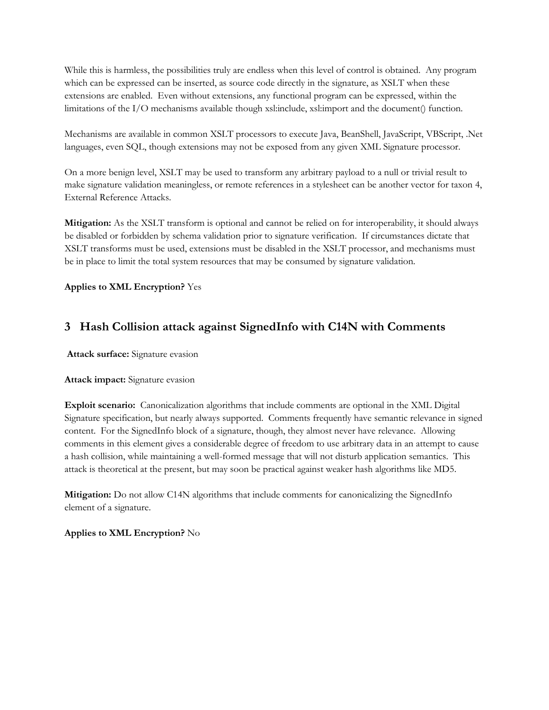While this is harmless, the possibilities truly are endless when this level of control is obtained. Any program which can be expressed can be inserted, as source code directly in the signature, as XSLT when these extensions are enabled. Even without extensions, any functional program can be expressed, within the limitations of the I/O mechanisms available though xsl:include, xsl:import and the document() function.

Mechanisms are available in common XSLT processors to execute Java, BeanShell, JavaScript, VBScript, .Net languages, even SQL, though extensions may not be exposed from any given XML Signature processor.

On a more benign level, XSLT may be used to transform any arbitrary payload to a null or trivial result to make signature validation meaningless, or remote references in a stylesheet can be another vector for taxon 4, External Reference Attacks.

**Mitigation:** As the XSLT transform is optional and cannot be relied on for interoperability, it should always be disabled or forbidden by schema validation prior to signature verification. If circumstances dictate that XSLT transforms must be used, extensions must be disabled in the XSLT processor, and mechanisms must be in place to limit the total system resources that may be consumed by signature validation.

**Applies to XML Encryption?** Yes

## **3 Hash Collision attack against SignedInfo with C14N with Comments**

**Attack surface:** Signature evasion

#### **Attack impact:** Signature evasion

**Exploit scenario:** Canonicalization algorithms that include comments are optional in the XML Digital Signature specification, but nearly always supported. Comments frequently have semantic relevance in signed content. For the SignedInfo block of a signature, though, they almost never have relevance. Allowing comments in this element gives a considerable degree of freedom to use arbitrary data in an attempt to cause a hash collision, while maintaining a well-formed message that will not disturb application semantics. This attack is theoretical at the present, but may soon be practical against weaker hash algorithms like MD5.

**Mitigation:** Do not allow C14N algorithms that include comments for canonicalizing the SignedInfo element of a signature.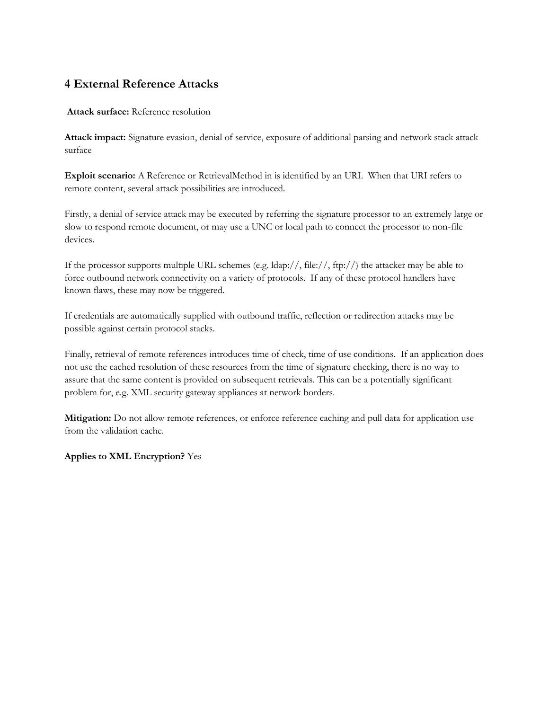# **4 External Reference Attacks**

#### **Attack surface:** Reference resolution

**Attack impact:** Signature evasion, denial of service, exposure of additional parsing and network stack attack surface

**Exploit scenario:** A Reference or RetrievalMethod in is identified by an URI. When that URI refers to remote content, several attack possibilities are introduced.

Firstly, a denial of service attack may be executed by referring the signature processor to an extremely large or slow to respond remote document, or may use a UNC or local path to connect the processor to non-file devices.

If the processor supports multiple URL schemes (e.g. ldap://, file://, ftp://) the attacker may be able to force outbound network connectivity on a variety of protocols. If any of these protocol handlers have known flaws, these may now be triggered.

If credentials are automatically supplied with outbound traffic, reflection or redirection attacks may be possible against certain protocol stacks.

Finally, retrieval of remote references introduces time of check, time of use conditions. If an application does not use the cached resolution of these resources from the time of signature checking, there is no way to assure that the same content is provided on subsequent retrievals. This can be a potentially significant problem for, e.g. XML security gateway appliances at network borders.

**Mitigation:** Do not allow remote references, or enforce reference caching and pull data for application use from the validation cache.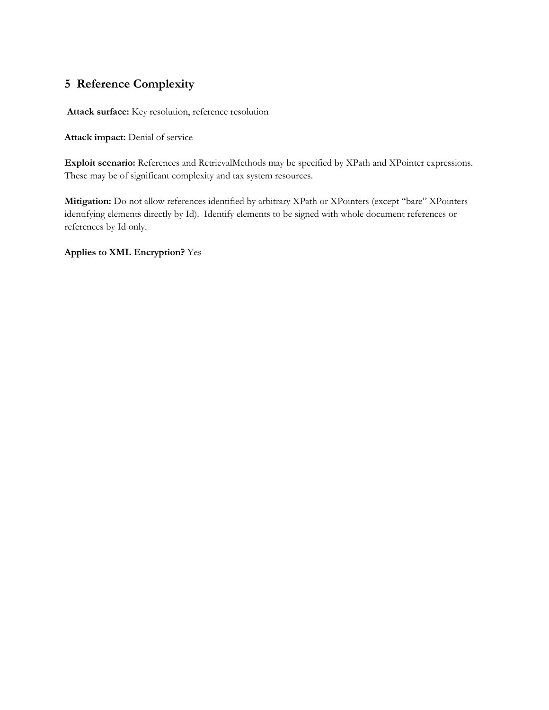# **5 Reference Complexity**

**Attack surface:** Key resolution, reference resolution

**Attack impact:** Denial of service

**Exploit scenario:** References and RetrievalMethods may be specified by XPath and XPointer expressions. These may be of significant complexity and tax system resources.

**Mitigation:** Do not allow references identified by arbitrary XPath or XPointers (except "bare" XPointers identifying elements directly by Id). Identify elements to be signed with whole document references or references by Id only.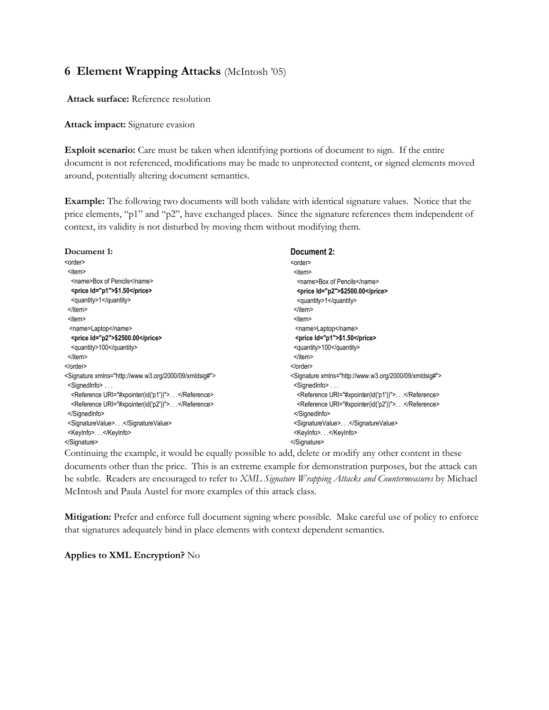### **6 Element Wrapping Attacks** (McIntosh "05)

**Attack surface:** Reference resolution

**Attack impact:** Signature evasion

**Exploit scenario:** Care must be taken when identifying portions of document to sign. If the entire document is not referenced, modifications may be made to unprotected content, or signed elements moved around, potentially altering document semantics.

**Example:** The following two documents will both validate with identical signature values. Notice that the price elements, "p1" and "p2", have exchanged places. Since the signature references them independent of context, its validity is not disturbed by moving them without modifying them.

| Document 2:                                                        |
|--------------------------------------------------------------------|
| <order></order>                                                    |
| <item></item>                                                      |
| <name>Box of Pencils</name>                                        |
| <price id="p2">\$2500.00</price>                                   |
| <quantity>1</quantity>                                             |
| $<$ /item>                                                         |
| <item></item>                                                      |
| <name>Laptop</name>                                                |
| <price ld="p1">\$1.50</price>                                      |
| <guantity>100</guantity>                                           |
|                                                                    |
|                                                                    |
| <signature xmlns="http://www.w3.org/2000/09/xmldsig#"></signature> |
| <signedinfo></signedinfo>                                          |
| <reference uri="#xpointer(id('p1'))">.</reference>                 |
| <reference uri="#xpointer(id('p2'))"> </reference>                 |
|                                                                    |
| <signaturevalue></signaturevalue>                                  |
| <keyinfo></keyinfo>                                                |
|                                                                    |
|                                                                    |

Continuing the example, it would be equally possible to add, delete or modify any other content in these documents other than the price. This is an extreme example for demonstration purposes, but the attack can be subtle. Readers are encouraged to refer to *XML Signature Wrapping Attacks and Countermeasures* by Michael McIntosh and Paula Austel for more examples of this attack class.

**Mitigation:** Prefer and enforce full document signing where possible. Make careful use of policy to enforce that signatures adequately bind in place elements with context dependent semantics.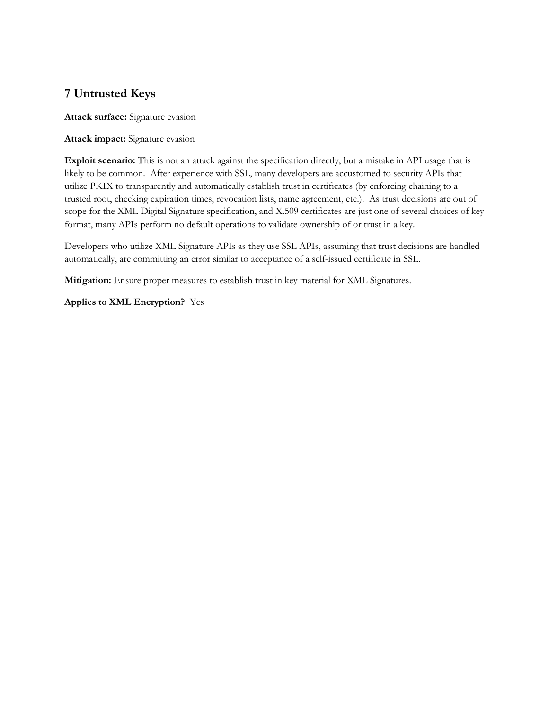# **7 Untrusted Keys**

**Attack surface:** Signature evasion

#### **Attack impact:** Signature evasion

**Exploit scenario:** This is not an attack against the specification directly, but a mistake in API usage that is likely to be common. After experience with SSL, many developers are accustomed to security APIs that utilize PKIX to transparently and automatically establish trust in certificates (by enforcing chaining to a trusted root, checking expiration times, revocation lists, name agreement, etc.). As trust decisions are out of scope for the XML Digital Signature specification, and X.509 certificates are just one of several choices of key format, many APIs perform no default operations to validate ownership of or trust in a key.

Developers who utilize XML Signature APIs as they use SSL APIs, assuming that trust decisions are handled automatically, are committing an error similar to acceptance of a self-issued certificate in SSL.

**Mitigation:** Ensure proper measures to establish trust in key material for XML Signatures.